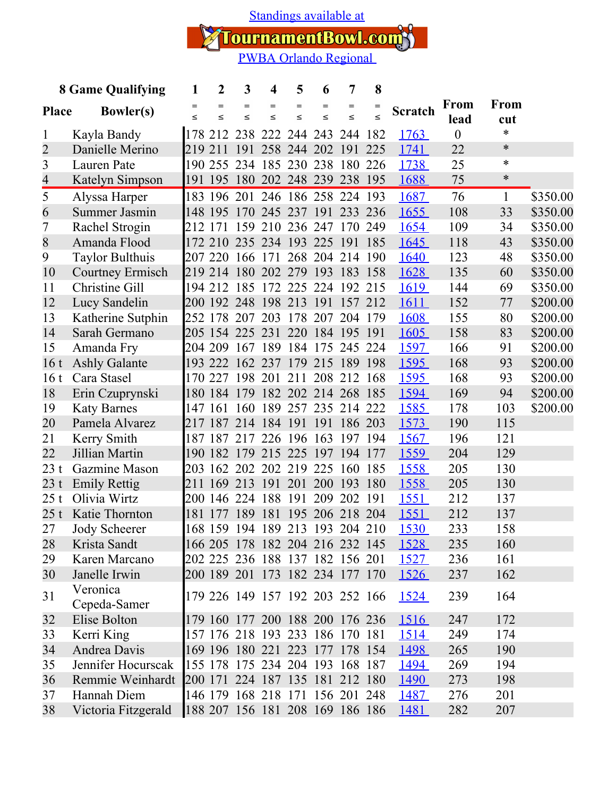[Standings available at](https://tournamentbowl.com/Open/Standings_Custom_doc.cfm)

TournamentBowl.com

| <b>8 Game Qualifying</b> |                          | 1                           | $\boldsymbol{2}$ | 3               | 4                               | 5             | 6                   | 7             | 8             |                |              |              |          |
|--------------------------|--------------------------|-----------------------------|------------------|-----------------|---------------------------------|---------------|---------------------|---------------|---------------|----------------|--------------|--------------|----------|
| <b>Place</b>             | <b>Bowler(s)</b>         | $\qquad \qquad =$<br>$\leq$ | $=$<br>$\leq$    | $=$<br>$\leq$   | $=$<br>$\leq$                   | $=$<br>$\leq$ | $=$<br>$\leq$       | $=$<br>$\leq$ | $=$<br>$\leq$ | <b>Scratch</b> | From<br>lead | <b>From</b>  |          |
| 1                        | Kayla Bandy              |                             |                  |                 | 178 212 238 222 244 243         |               |                     | 244           | 182           | <u>1763</u>    | $\theta$     | cut<br>*     |          |
| 2                        | Danielle Merino          |                             | 219 211          | 191             |                                 | 258 244 202   |                     | 191           | 225           | 1741           | 22           | $\ast$       |          |
| 3                        | Lauren Pate              |                             | 190 255 234      |                 | 185 230 238                     |               |                     | 180 226       |               | 1738           | 25           | $\ast$       |          |
| 4                        | Katelyn Simpson          |                             | 191 195 180      |                 |                                 |               | 202 248 239 238 195 |               |               | 1688           | 75           | $\ast$       |          |
| 5                        | Alyssa Harper            |                             |                  |                 | 183 196 201 246 186 258 224 193 |               |                     |               |               | 1687           | 76           | $\mathbf{1}$ | \$350.00 |
| 6                        | Summer Jasmin            |                             |                  |                 | 148 195 170 245 237 191 233 236 |               |                     |               |               | 1655           | 108          | 33           | \$350.00 |
| 7                        | Rachel Strogin           |                             | 212 171          | 159             |                                 |               | 210 236 247 170 249 |               |               | 1654           | 109          | 34           | \$350.00 |
| 8                        | Amanda Flood             |                             |                  |                 | 172 210 235 234 193 225 191 185 |               |                     |               |               | 1645           | 118          | 43           | \$350.00 |
| 9                        | <b>Taylor Bulthuis</b>   |                             |                  | 207 220 166 171 |                                 |               | 268 204             | 214 190       |               | <u>1640</u>    | 123          | 48           | \$350.00 |
| 10                       | <b>Courtney Ermisch</b>  |                             |                  |                 | 219 214 180 202 279             |               | 193                 | 183           | 158           | 1628           | 135          | 60           | \$350.00 |
| 11                       | <b>Christine Gill</b>    |                             |                  |                 | 194 212 185 172 225 224         |               |                     | 192 215       |               | <u>1619</u>    | 144          | 69           | \$350.00 |
| 12                       | Lucy Sandelin            |                             |                  |                 | 200 192 248 198 213 191         |               |                     | 157 212       |               | 1611           | 152          | 77           | \$200.00 |
| 13                       | Katherine Sutphin        |                             |                  |                 | 252 178 207 203 178 207         |               |                     | 204 179       |               | 1608           | 155          | 80           | \$200.00 |
| 14                       | Sarah Germano            |                             |                  | 205 154 225 231 |                                 |               | 220 184 195 191     |               |               | 1605           | 158          | 83           | \$200.00 |
| 15                       | Amanda Fry               |                             |                  |                 | 204 209 167 189 184 175 245 224 |               |                     |               |               | 1597           | 166          | 91           | \$200.00 |
| 16 <sub>t</sub>          | <b>Ashly Galante</b>     |                             |                  |                 | 193 222 162 237 179 215 189 198 |               |                     |               |               | 1595           | 168          | 93           | \$200.00 |
| 16t                      | Cara Stasel              |                             |                  | 170 227 198 201 |                                 | 211           |                     | 208 212 168   |               | 1595           | 168          | 93           | \$200.00 |
| 18                       | Erin Czuprynski          |                             | 180 184 179      |                 | 182 202 214 268 185             |               |                     |               |               | 1594           | 169          | 94           | \$200.00 |
| 19                       | <b>Katy Barnes</b>       |                             | 147 161          | 160             |                                 |               | 189 257 235 214 222 |               |               | <u>1585</u>    | 178          | 103          | \$200.00 |
| 20                       | Pamela Alvarez           |                             | 217 187 214      |                 | 184 191 191                     |               |                     | 186 203       |               | 1573           | 190          | 115          |          |
| 21                       | Kerry Smith              |                             |                  |                 | 187 187 217 226 196 163         |               |                     | 197 194       |               | <u>1567</u>    | 196          | 121          |          |
| 22                       | Jillian Martin           |                             |                  | 190 182 179     |                                 |               | 215 225 197 194 177 |               |               | 1559           | 204          | 129          |          |
| 23t                      | Gazmine Mason            |                             |                  |                 | 203 162 202 202 219 225         |               |                     | 160 185       |               | <u>1558</u>    | 205          | 130          |          |
| 23 t                     | <b>Emily Rettig</b>      | 211                         | 169 213          |                 | <sup>191</sup>                  | 201           | 200                 | 193           | 180           | 1558           | 205          | 130          |          |
| 25t                      | Olivia Wirtz             |                             | 200 146 224      |                 | 188                             | 191           | 209                 | 202 191       |               | <u>1551</u>    | 212          | 137          |          |
| 25 t                     | Katie Thornton           | 181                         |                  |                 | 177 189 181 195 206 218 204     |               |                     |               |               | 1551           | 212          | 137          |          |
| 27                       | Jody Scheerer            |                             |                  |                 | 168 159 194 189 213 193 204 210 |               |                     |               |               | <u> 1530 </u>  | 233          | 158          |          |
| 28                       | Krista Sandt             |                             |                  |                 | 166 205 178 182 204 216 232 145 |               |                     |               |               | <u>1528</u>    | 235          | 160          |          |
| 29                       | Karen Marcano            |                             |                  |                 | 202 225 236 188 137 182 156 201 |               |                     |               |               | <u>1527</u>    | 236          | 161          |          |
| 30                       | Janelle Irwin            |                             |                  |                 | 200 189 201 173 182 234 177 170 |               |                     |               |               | <u>1526</u>    | 237          | 162          |          |
| 31                       | Veronica<br>Cepeda-Samer |                             |                  |                 | 179 226 149 157 192 203 252 166 |               |                     |               |               | 1524           | 239          | 164          |          |
| 32                       | Elise Bolton             |                             |                  |                 | 179 160 177 200 188 200 176 236 |               |                     |               |               | <u>1516</u>    | 247          | 172          |          |
| 33                       | Kerri King               |                             |                  |                 | 157 176 218 193 233 186 170 181 |               |                     |               |               | <u>1514</u>    | 249          | 174          |          |
| 34                       | Andrea Davis             |                             |                  |                 | 169 196 180 221 223 177 178 154 |               |                     |               |               | <u> 1498 </u>  | 265          | 190          |          |
| 35                       | Jennifer Hocurscak       |                             |                  |                 | 155 178 175 234 204 193 168 187 |               |                     |               |               | <u> 1494 </u>  | 269          | 194          |          |
| 36                       | Remmie Weinhardt         |                             |                  |                 | 200 171 224 187 135 181 212 180 |               |                     |               |               | <u>1490</u>    | 273          | 198          |          |
| 37                       | Hannah Diem              |                             |                  |                 | 146 179 168 218 171 156 201 248 |               |                     |               |               | <u>1487</u>    | 276          | 201          |          |
| 38                       | Victoria Fitzgerald      |                             |                  |                 | 188 207 156 181 208 169 186 186 |               |                     |               |               | <u>1481</u>    | 282          | 207          |          |